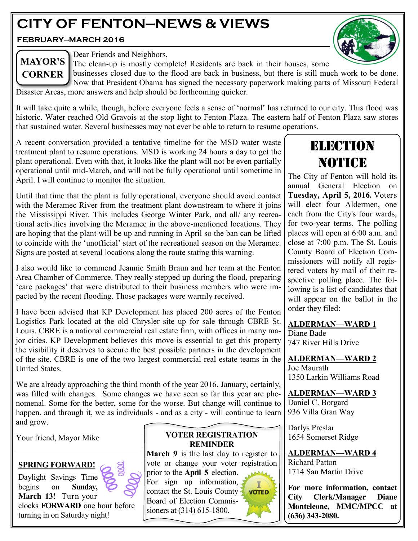# **CITY OF FENTON—NEWS & VIEWS**

**FEBRUARY—MARCH 2016**



# **MAYOR'S CORNER**

Dear Friends and Neighbors,

The clean-up is mostly complete! Residents are back in their houses, some

businesses closed due to the flood are back in business, but there is still much work to be done. Now that President Obama has signed the necessary paperwork making parts of Missouri Federal Disaster Areas, more answers and help should be forthcoming quicker.

It will take quite a while, though, before everyone feels a sense of 'normal' has returned to our city. This flood was historic. Water reached Old Gravois at the stop light to Fenton Plaza. The eastern half of Fenton Plaza saw stores that sustained water. Several businesses may not ever be able to return to resume operations.

A recent conversation provided a tentative timeline for the MSD water waste treatment plant to resume operations. MSD is working 24 hours a day to get the plant operational. Even with that, it looks like the plant will not be even partially operational until mid-March, and will not be fully operational until sometime in April. I will continue to monitor the situation.

Until that time that the plant is fully operational, everyone should avoid contact with the Meramec River from the treatment plant downstream to where it joins the Mississippi River. This includes George Winter Park, and all/ any recreational activities involving the Meramec in the above-mentioned locations. They are hoping that the plant will be up and running in April so the ban can be lifted to coincide with the 'unofficial' start of the recreational season on the Meramec. Signs are posted at several locations along the route stating this warning.

I also would like to commend Jeannie Smith Braun and her team at the Fenton Area Chamber of Commerce. They really stepped up during the flood, preparing 'care packages' that were distributed to their business members who were impacted by the recent flooding. Those packages were warmly received.

I have been advised that KP Development has placed 200 acres of the Fenton Logistics Park located at the old Chrysler site up for sale through CBRE St. Louis. CBRE is a national commercial real estate firm, with offices in many major cities. KP Development believes this move is essential to get this property the visibility it deserves to secure the best possible partners in the development of the site. CBRE is one of the two largest commercial real estate teams in the United States.

We are already approaching the third month of the year 2016. January, certainly, was filled with changes. Some changes we have seen so far this year are phenomenal. Some for the better, some for the worse. But change will continue to happen, and through it, we as individuals - and as a city - will continue to learn and grow.

Your friend, Mayor Mike

# **SPRING FORWARD!**

Daylight Savings Time begins on **Sunday, March 13!** Turn your clocks **FORWARD** one hour before turning in on Saturday night!

# **VOTER REGISTRATION REMINDER**

**March 9** is the last day to register to vote or change your voter registration

prior to the **April 5** election. For sign up information, contact the St. Louis County **VOTED** Board of Election Commissioners at (314) 615-1800.



The City of Fenton will hold its annual General Election on **Tuesday, April 5, 2016.** Voters will elect four Aldermen, one each from the City's four wards, for two-year terms. The polling places will open at 6:00 a.m. and close at 7:00 p.m. The St. Louis County Board of Election Commissioners will notify all registered voters by mail of their respective polling place. The following is a list of candidates that will appear on the ballot in the order they filed:

# **ALDERMAN—WARD 1**

Diane Bade 747 River Hills Drive

**ALDERMAN—WARD 2** Joe Maurath 1350 Larkin Williams Road

**ALDERMAN—WARD 3** Daniel C. Borgard 936 Villa Gran Way

Darlys Preslar 1654 Somerset Ridge

**ALDERMAN—WARD 4** Richard Patton 1714 San Martin Drive

**For more information, contact City Clerk/Manager Diane Monteleone, MMC/MPCC at (636) 343-2080.**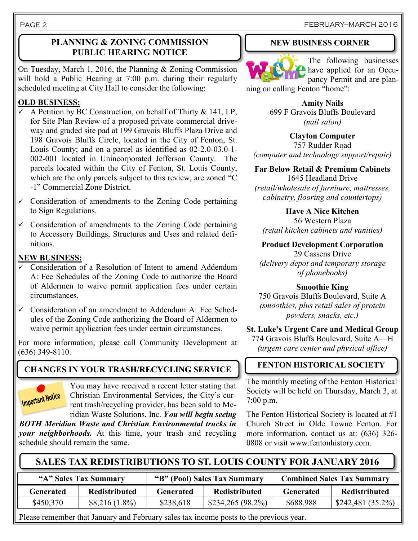PAGE 2

# **PLANNING & ZONING COMMISSION PUBLIC HEARING NOTICE**

On Tuesday, March 1, 2016, the Planning & Zoning Commission will hold a Public Hearing at 7:00 p.m. during their regularly scheduled meeting at City Hall to consider the following:

# **OLD BUSINESS:**

- $\sim$  A Petition by BC Construction, on behalf of Thirty & 141, LP, for Site Plan Review of a proposed private commercial driveway and graded site pad at 199 Gravois Bluffs Plaza Drive and 198 Gravois Bluffs Circle, located in the City of Fenton, St. Louis County; and on a parcel as identified as 02-2.0-03.0-1- 002-001 located in Unincorporated Jefferson County. The parcels located within the City of Fenton, St. Louis County, which are the only parcels subject to this review, are zoned "C -1" Commercial Zone District.
- $\checkmark$  Consideration of amendments to the Zoning Code pertaining to Sign Regulations.
- $\checkmark$  Consideration of amendments to the Zoning Code pertaining to Accessory Buildings, Structures and Uses and related definitions.

### **NEW BUSINESS:**

- $\overline{\smile}$  Consideration of a Resolution of Intent to amend Addendum A: Fee Schedules of the Zoning Code to authorize the Board of Aldermen to waive permit application fees under certain circumstances.
- $\checkmark$  Consideration of an amendment to Addendum A: Fee Schedules of the Zoning Code authorizing the Board of Aldermen to waive permit application fees under certain circumstances.

For more information, please call Community Development at (636) 349-8110.

# **CHANGES IN YOUR TRASH/RECYCLING SERVICE**



You may have received a recent letter stating that Christian Environmental Services, the City's current trash/recycling provider, has been sold to Meridian Waste Solutions, Inc. *You will begin seeing* 

*BOTH Meridian Waste and Christian Environmental trucks in your neighborhoods.* At this time, your trash and recycling schedule should remain the same.

### FEBRUARY—MARCH 2016

# **NEW BUSINESS CORNER**



The following businesses have applied for an Occupancy Permit and are plan-

ning on calling Fenton "home":

**Amity Nails** 699 F Gravois Bluffs Boulevard *(nail salon)*

**Clayton Computer** 757 Rudder Road *(computer and technology support/repair)*

**Far Below Retail & Premium Cabinets** 1645 Headland Drive

*(retail/wholesale of furniture, mattresses, cabinetry, flooring and countertops)*

**Have A Nice Kitchen** 56 Western Plaza *(retail kitchen cabinets and vanities)*

**Product Development Corporation**

29 Cassens Drive *(delivery depot and temporary storage of phonebooks)*

### **Smoothie King**

750 Gravois Bluffs Boulevard, Suite A *(smoothies, plus retail sales of protein powders, snacks, etc.)*

**St. Luke's Urgent Care and Medical Group**

774 Gravois Bluffs Boulevard, Suite A—H *(urgent care center and physical office)*

# **FENTON HISTORICAL SOCIETY**

The monthly meeting of the Fenton Historical Society will be held on Thursday, March 3, at 7:00 p.m.

The Fenton Historical Society is located at #1 Church Street in Olde Towne Fenton. For more information, contact us at: (636) 326- 0808 or visit www.fentonhistory.com.

# **SALES TAX REDISTRIBUTIONS TO ST. LOUIS COUNTY FOR JANUARY 2016**

| "A" Sales Tax Summary |                      | "B" (Pool) Sales Tax Summary |                      | <b>Combined Sales Tax Summary</b> |                    |
|-----------------------|----------------------|------------------------------|----------------------|-----------------------------------|--------------------|
| Generated             | <b>Redistributed</b> | <b>Generated</b>             | <b>Redistributed</b> | Generated                         | Redistributed      |
| \$450,370             | $$8,216(1.8\%)$      | \$238,618                    | $$234,265 (98.2\%)$  | \$688,988                         | $$242,481$ (35.2%) |

Please remember that January and February sales tax income posts to the previous year.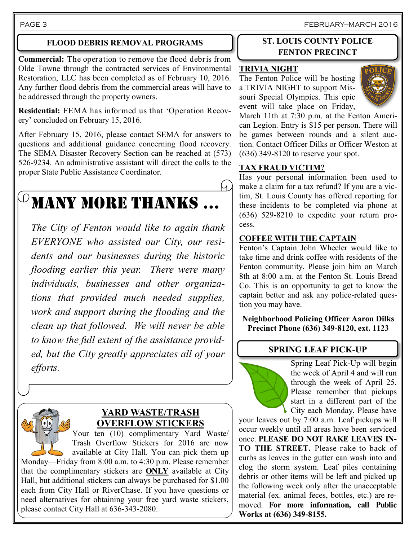PAGE 3 FEBRUARY—MARCH 2016

### **FLOOD DEBRIS REMOVAL PROGRAMS**

**Commercial:** The operation to remove the flood debris from Olde Towne through the contracted services of Environmental Restoration, LLC has been completed as of February 10, 2016. Any further flood debris from the commercial areas will have to be addressed through the property owners.

**Residential:** FEMA has informed us that 'Operation Recovery' concluded on February 15, 2016.

After February 15, 2016, please contact SEMA for answers to questions and additional guidance concerning flood recovery. The SEMA Disaster Recovery Section can be reached at (573) 526-9234. An administrative assistant will direct the calls to the proper State Public Assistance Coordinator.

# MANY MORE THANKS …

*The City of Fenton would like to again thank EVERYONE who assisted our City, our residents and our businesses during the historic flooding earlier this year. There were many individuals, businesses and other organizations that provided much needed supplies, work and support during the flooding and the clean up that followed. We will never be able to know the full extent of the assistance provided, but the City greatly appreciates all of your efforts.*



# **YARD WASTE/TRASH OVERFLOW STICKERS**

Your ten (10) complimentary Yard Waste/ Trash Overflow Stickers for 2016 are now available at City Hall. You can pick them up Monday—Friday from 8:00 a.m. to 4:30 p.m. Please remember that the complimentary stickers are **ONLY** available at City Hall, but additional stickers can always be purchased for \$1.00 each from City Hall or RiverChase. If you have questions or need alternatives for obtaining your free yard waste stickers, please contact City Hall at 636-343-2080.

# **ST. LOUIS COUNTY POLICE FENTON PRECINCT**

### **TRIVIA NIGHT**

The Fenton Police will be hosting a TRIVIA NIGHT to support Missouri Special Olympics. This epic event will take place on Friday,



March 11th at 7:30 p.m. at the Fenton American Legion. Entry is \$15 per person. There will be games between rounds and a silent auction. Contact Officer Dilks or Officer Weston at (636) 349-8120 to reserve your spot.

# **TAX FRAUD VICTIM?**

Has your personal information been used to make a claim for a tax refund? If you are a victim, St. Louis County has offered reporting for these incidents to be completed via phone at (636) 529-8210 to expedite your return process.

# **COFFEE WITH THE CAPTAIN**

Fenton's Captain John Wheeler would like to take time and drink coffee with residents of the Fenton community. Please join him on March 8th at 8:00 a.m. at the Fenton St. Louis Bread Co. This is an opportunity to get to know the captain better and ask any police-related question you may have.

**Neighborhood Policing Officer Aaron Dilks Precinct Phone (636) 349-8120, ext. 1123**

# **SPRING LEAF PICK-UP**



Spring Leaf Pick-Up will begin the week of April 4 and will run through the week of April 25. Please remember that pickups start in a different part of the City each Monday. Please have

your leaves out by 7:00 a.m. Leaf pickups will occur weekly until all areas have been serviced once. **PLEASE DO NOT RAKE LEAVES IN-TO THE STREET.** Please rake to back of curbs as leaves in the gutter can wash into and clog the storm system. Leaf piles containing debris or other items will be left and picked up the following week only after the unacceptable material (ex. animal feces, bottles, etc.) are removed. **For more information, call Public Works at (636) 349-8155.**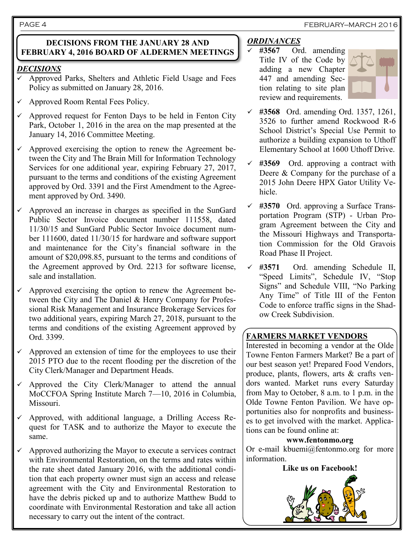### PAGE 4 FEBRUARY—MARCH 2016

### **DECISIONS FROM THE JANUARY 28 AND FEBRUARY 4, 2016 BOARD OF ALDERMEN MEETINGS**

### *DECISIONS*

- $\checkmark$  Approved Parks, Shelters and Athletic Field Usage and Fees Policy as submitted on January 28, 2016.
- Approved Room Rental Fees Policy.
- Approved request for Fenton Days to be held in Fenton City Park, October 1, 2016 in the area on the map presented at the January 14, 2016 Committee Meeting.
- $\checkmark$  Approved exercising the option to renew the Agreement between the City and The Brain Mill for Information Technology Services for one additional year, expiring February 27, 2017, pursuant to the terms and conditions of the existing Agreement approved by Ord. 3391 and the First Amendment to the Agreement approved by Ord. 3490.
- $\checkmark$  Approved an increase in charges as specified in the SunGard Public Sector Invoice document number 111558, dated 11/30/15 and SunGard Public Sector Invoice document number 111600, dated 11/30/15 for hardware and software support and maintenance for the City's financial software in the amount of \$20,098.85, pursuant to the terms and conditions of the Agreement approved by Ord. 2213 for software license, sale and installation.
- Approved exercising the option to renew the Agreement between the City and The Daniel & Henry Company for Professional Risk Management and Insurance Brokerage Services for two additional years, expiring March 27, 2018, pursuant to the terms and conditions of the existing Agreement approved by Ord. 3399.
- $\checkmark$  Approved an extension of time for the employees to use their 2015 PTO due to the recent flooding per the discretion of the City Clerk/Manager and Department Heads.
- $\checkmark$  Approved the City Clerk/Manager to attend the annual MoCCFOA Spring Institute March 7—10, 2016 in Columbia, Missouri.
- $\checkmark$  Approved, with additional language, a Drilling Access Request for TASK and to authorize the Mayor to execute the same.
- $\checkmark$  Approved authorizing the Mayor to execute a services contract with Environmental Restoration, on the terms and rates within the rate sheet dated January 2016, with the additional condition that each property owner must sign an access and release agreement with the City and Environmental Restoration to have the debris picked up and to authorize Matthew Budd to coordinate with Environmental Restoration and take all action necessary to carry out the intent of the contract.

# *ORDINANCES*

 $\checkmark$  #3567 Ord. amending Title IV of the Code by adding a new Chapter 447 and amending Section relating to site plan review and requirements.



- **#3568** Ord. amending Ord. 1357, 1261, 3526 to further amend Rockwood R-6 School District's Special Use Permit to authorize a building expansion to Uthoff Elementary School at 1600 Uthoff Drive.
- **#3569** Ord. approving a contract with Deere & Company for the purchase of a 2015 John Deere HPX Gator Utility Vehicle.
- **#3570** Ord. approving a Surface Transportation Program (STP) - Urban Program Agreement between the City and the Missouri Highways and Transportation Commission for the Old Gravois Road Phase II Project.
- **#3571** Ord. amending Schedule II, "Speed Limits", Schedule IV, "Stop Signs" and Schedule VIII, "No Parking Any Time" of Title III of the Fenton Code to enforce traffic signs in the Shadow Creek Subdivision.

# **FARMERS MARKET VENDORS**

Interested in becoming a vendor at the Olde Towne Fenton Farmers Market? Be a part of our best season yet! Prepared Food Vendors, produce, plants, flowers, arts & crafts vendors wanted. Market runs every Saturday from May to October, 8 a.m. to 1 p.m. in the Olde Towne Fenton Pavilion. We have opportunities also for nonprofits and businesses to get involved with the market. Applications can be found online at:

### **[www.fentonmo.org](http://www.fentonmo.org)**

Or e-mail [kbuemi@fentonmo.org f](mailto:kbuemi@fentonmo.org)or more information.

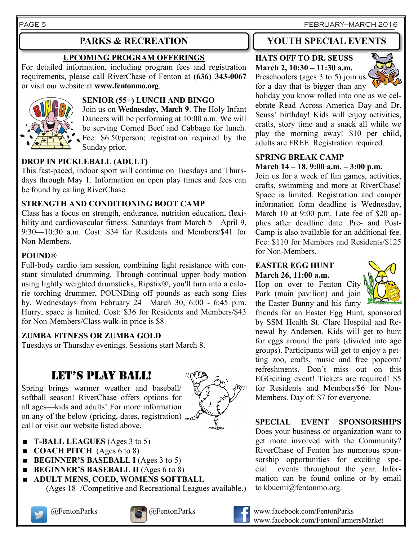PAGE 5 FEBRUARY—MARCH 2016

# **UPCOMING PROGRAM OFFERINGS**

For detailed information, including program fees and registration requirements, please call RiverChase of Fenton at **(636) 343-0067**  or visit our website at **www.fentonmo.org**.



# **SENIOR (55+) LUNCH AND BINGO**

Join us on **Wednesday, March 9**. The Holy Infant Dancers will be performing at 10:00 a.m. We will be serving Corned Beef and Cabbage for lunch. Fee: \$6.50/person; registration required by the Sunday prior.

# **DROP IN PICKLEBALL (ADULT)**

This fast-paced, indoor sport will continue on Tuesdays and Thursdays through May 1. Information on open play times and fees can be found by calling RiverChase.

# **STRENGTH AND CONDITIONING BOOT CAMP**

Class has a focus on strength, endurance, nutrition education, flexibility and cardiovascular fitness. Saturdays from March 5—April 9, 9:30—10:30 a.m. Cost: \$34 for Residents and Members/\$41 for Non-Members.

# **POUND®**

Full-body cardio jam session, combining light resistance with constant simulated drumming. Through continual upper body motion using lightly weighted drumsticks, Ripstix®, you'll turn into a calorie torching drummer, POUNDing off pounds as each song flies by. Wednesdays from February 24—March 30, 6:00 - 6:45 p.m. Hurry, space is limited. Cost: \$36 for Residents and Members/\$43 for Non-Members/Class walk-in price is \$8.

# **ZUMBA FITNESS OR ZUMBA GOLD**

Tuesdays or Thursday evenings. Sessions start March 8.

# LET'S PLAY BALL!

Spring brings warmer weather and baseball/ softball season! RiverChase offers options for all ages—kids and adults! For more information on any of the below (pricing, dates, registration)  $\sim$ call or visit our website listed above.



- **T-BALL LEAGUES** (Ages 3 to 5)
- **COACH PITCH** (Ages 6 to 8)
- **BEGINNER'S BASEBALL I** (Ages 3 to 5)
- **BEGINNER'S BASEBALL II** (Ages 6 to 8)
- **ADULT MENS, COED, WOMENS SOFTBALL** (Ages 18+/Competitive and Recreational Leagues available.)







# **PARKS & RECREATION YOUTH SPECIAL EVENTS**

### **HATS OFF TO DR. SEUSS March 2, 10:30 – 11:30 a.m.** Preschoolers (ages 3 to 5) join us

for a day that is bigger than any



holiday you know rolled into one as we celebrate Read Across America Day and Dr. Seuss' birthday! Kids will enjoy activities, crafts, story time and a snack all while we play the morning away! \$10 per child, adults are FREE. Registration required.

### **SPRING BREAK CAMP March 14 – 18, 9:00 a.m. – 3:00 p.m.**

Join us for a week of fun games, activities, crafts, swimming and more at RiverChase! Space is limited. Registration and camper information form deadline is Wednesday, March 10 at 9:00 p.m. Late fee of \$20 applies after deadline date. Pre- and Post-Camp is also available for an additional fee. Fee: \$110 for Members and Residents/\$125 for Non-Members.

### **EASTER EGG HUNT March 26, 11:00 a.m.**

Hop on over to Fenton City Park (main pavilion) and join the Easter Bunny and his furry



friends for an Easter Egg Hunt, sponsored by SSM Health St. Clare Hospital and Renewal by Andersen. Kids will get to hunt for eggs around the park (divided into age groups). Participants will get to enjoy a petting zoo, crafts, music and free popcorn/ refreshments. Don't miss out on this EGGciting event! Tickets are required! \$5 for Residents and Members/\$6 for Non-Members. Day of: \$7 for everyone.

**SPECIAL EVENT SPONSORSHIPS** Does your business or organization want to get more involved with the Community? RiverChase of Fenton has numerous sponsorship opportunities for exciting special events throughout the year. Information can be found online or by email to kbuemi@fentonmo.org.



@FentonParks @FentonParks www.facebook.com/FentonParks www.facebook.com/FentonFarmersMarket